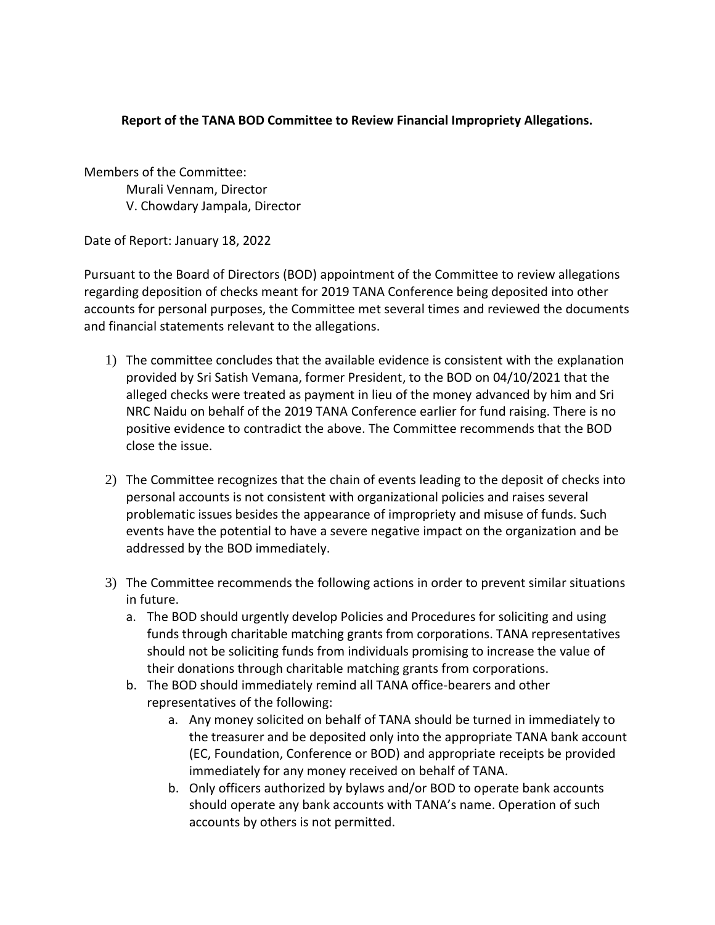## **Report of the TANA BOD Committee to Review Financial Impropriety Allegations.**

Members of the Committee: Murali Vennam, Director V. Chowdary Jampala, Director

Date of Report: January 18, 2022

Pursuant to the Board of Directors (BOD) appointment of the Committee to review allegations regarding deposition of checks meant for 2019 TANA Conference being deposited into other accounts for personal purposes, the Committee met several times and reviewed the documents and financial statements relevant to the allegations.

- 1) The committee concludes that the available evidence is consistent with the explanation provided by Sri Satish Vemana, former President, to the BOD on 04/10/2021 that the alleged checks were treated as payment in lieu of the money advanced by him and Sri NRC Naidu on behalf of the 2019 TANA Conference earlier for fund raising. There is no positive evidence to contradict the above. The Committee recommends that the BOD close the issue.
- 2) The Committee recognizes that the chain of events leading to the deposit of checks into personal accounts is not consistent with organizational policies and raises several problematic issues besides the appearance of impropriety and misuse of funds. Such events have the potential to have a severe negative impact on the organization and be addressed by the BOD immediately.
- 3) The Committee recommends the following actions in order to prevent similar situations in future.
	- a. The BOD should urgently develop Policies and Procedures for soliciting and using funds through charitable matching grants from corporations. TANA representatives should not be soliciting funds from individuals promising to increase the value of their donations through charitable matching grants from corporations.
	- b. The BOD should immediately remind all TANA office-bearers and other representatives of the following:
		- a. Any money solicited on behalf of TANA should be turned in immediately to the treasurer and be deposited only into the appropriate TANA bank account (EC, Foundation, Conference or BOD) and appropriate receipts be provided immediately for any money received on behalf of TANA.
		- b. Only officers authorized by bylaws and/or BOD to operate bank accounts should operate any bank accounts with TANA's name. Operation of such accounts by others is not permitted.